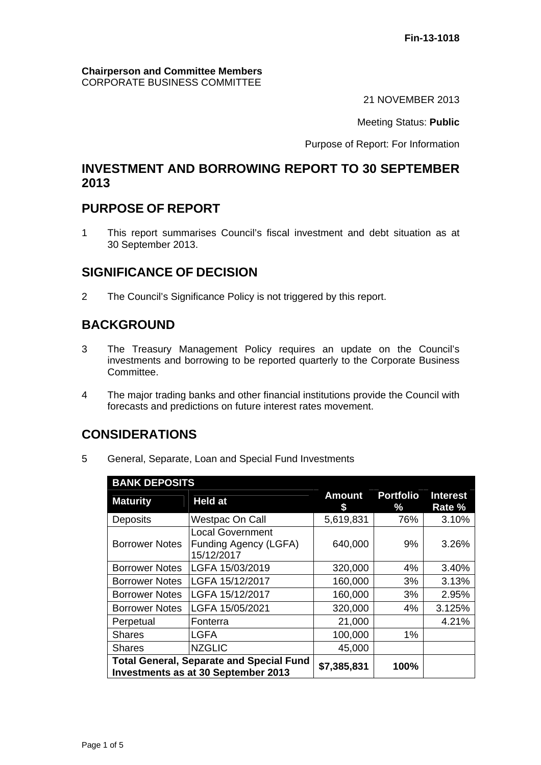#### **Chairperson and Committee Members** CORPORATE BUSINESS COMMITTEE

21 NOVEMBER 2013

Meeting Status: **Public**

Purpose of Report: For Information

### **INVESTMENT AND BORROWING REPORT TO 30 SEPTEMBER 2013**

## **PURPOSE OF REPORT**

1 This report summarises Council's fiscal investment and debt situation as at 30 September 2013.

## **SIGNIFICANCE OF DECISION**

2 The Council's Significance Policy is not triggered by this report.

# **BACKGROUND**

- 3 The Treasury Management Policy requires an update on the Council's investments and borrowing to be reported quarterly to the Corporate Business Committee.
- 4 The major trading banks and other financial institutions provide the Council with forecasts and predictions on future interest rates movement.

## **CONSIDERATIONS**

5 General, Separate, Loan and Special Fund Investments

| <b>BANK DEPOSITS</b>                                                                          |                                                                |                     |                       |                           |  |  |
|-----------------------------------------------------------------------------------------------|----------------------------------------------------------------|---------------------|-----------------------|---------------------------|--|--|
| <b>Maturity</b>                                                                               | <b>Held at</b>                                                 | <b>Amount</b><br>\$ | <b>Portfolio</b><br>% | <b>Interest</b><br>Rate % |  |  |
| Deposits                                                                                      | <b>Westpac On Call</b>                                         | 5,619,831           | 76%                   | 3.10%                     |  |  |
| <b>Borrower Notes</b>                                                                         | <b>Local Government</b><br>Funding Agency (LGFA)<br>15/12/2017 | 640,000             | 9%                    | 3.26%                     |  |  |
| <b>Borrower Notes</b>                                                                         | LGFA 15/03/2019                                                | 320,000             | 4%                    | 3.40%                     |  |  |
| <b>Borrower Notes</b>                                                                         | LGFA 15/12/2017                                                | 160,000             | 3%                    | 3.13%                     |  |  |
| <b>Borrower Notes</b>                                                                         | LGFA 15/12/2017                                                | 160,000             | 3%                    | 2.95%                     |  |  |
| <b>Borrower Notes</b>                                                                         | LGFA 15/05/2021                                                | 320,000             | 4%                    | 3.125%                    |  |  |
| Perpetual                                                                                     | Fonterra                                                       | 21,000              |                       | 4.21%                     |  |  |
| <b>Shares</b>                                                                                 | <b>LGFA</b>                                                    | 100,000             | 1%                    |                           |  |  |
| <b>Shares</b>                                                                                 | <b>NZGLIC</b>                                                  | 45,000              |                       |                           |  |  |
| <b>Total General, Separate and Special Fund</b><br><b>Investments as at 30 September 2013</b> | \$7,385,831                                                    | 100%                |                       |                           |  |  |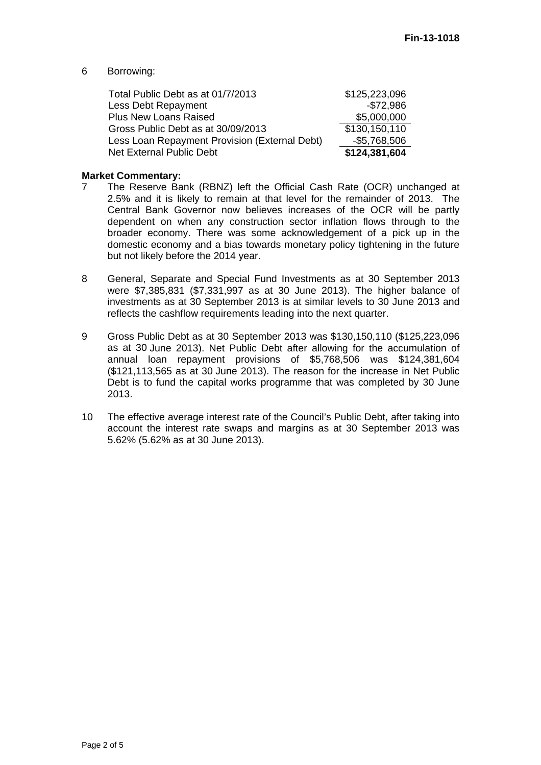#### 6 Borrowing:

| Total Public Debt as at 01/7/2013             | \$125,223,096 |
|-----------------------------------------------|---------------|
| Less Debt Repayment                           | $-$72,986$    |
| <b>Plus New Loans Raised</b>                  | \$5,000,000   |
| Gross Public Debt as at 30/09/2013            | \$130,150,110 |
| Less Loan Repayment Provision (External Debt) | $-$5,768,506$ |
| Net External Public Debt                      | \$124,381,604 |

#### **Market Commentary:**

- 7 The Reserve Bank (RBNZ) left the Official Cash Rate (OCR) unchanged at 2.5% and it is likely to remain at that level for the remainder of 2013. The Central Bank Governor now believes increases of the OCR will be partly dependent on when any construction sector inflation flows through to the broader economy. There was some acknowledgement of a pick up in the domestic economy and a bias towards monetary policy tightening in the future but not likely before the 2014 year.
- 8 General, Separate and Special Fund Investments as at 30 September 2013 were \$7,385,831 (\$7,331,997 as at 30 June 2013). The higher balance of investments as at 30 September 2013 is at similar levels to 30 June 2013 and reflects the cashflow requirements leading into the next quarter.
- 9 Gross Public Debt as at 30 September 2013 was \$130,150,110 (\$125,223,096 as at 30 June 2013). Net Public Debt after allowing for the accumulation of annual loan repayment provisions of \$5,768,506 was \$124,381,604 (\$121,113,565 as at 30 June 2013). The reason for the increase in Net Public Debt is to fund the capital works programme that was completed by 30 June 2013.
- 10 The effective average interest rate of the Council's Public Debt, after taking into account the interest rate swaps and margins as at 30 September 2013 was 5.62% (5.62% as at 30 June 2013).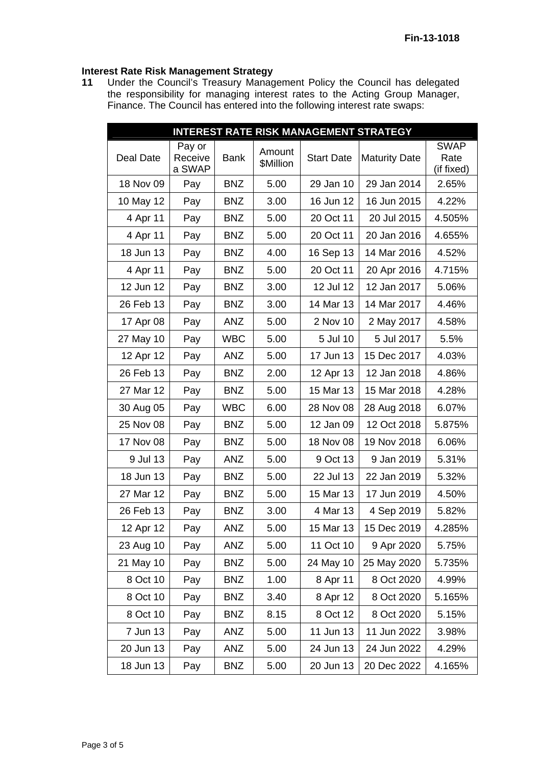### **Interest Rate Risk Management Strategy**

**11** Under the Council's Treasury Management Policy the Council has delegated the responsibility for managing interest rates to the Acting Group Manager, Finance. The Council has entered into the following interest rate swaps:

| <b>INTEREST RATE RISK MANAGEMENT STRATEGY</b> |                   |             |           |                   |                      |                    |
|-----------------------------------------------|-------------------|-------------|-----------|-------------------|----------------------|--------------------|
|                                               | Pay or            |             | Amount    |                   |                      | <b>SWAP</b>        |
| Deal Date                                     | Receive<br>a SWAP | <b>Bank</b> | \$Million | <b>Start Date</b> | <b>Maturity Date</b> | Rate<br>(if fixed) |
| 18 Nov 09                                     | Pay               | <b>BNZ</b>  | 5.00      | 29 Jan 10         | 29 Jan 2014          | 2.65%              |
| 10 May 12                                     | Pay               | <b>BNZ</b>  | 3.00      | 16 Jun 12         | 16 Jun 2015          | 4.22%              |
| 4 Apr 11                                      | Pay               | <b>BNZ</b>  | 5.00      | 20 Oct 11         | 20 Jul 2015          | 4.505%             |
| 4 Apr 11                                      | Pay               | <b>BNZ</b>  | 5.00      | 20 Oct 11         | 20 Jan 2016          | 4.655%             |
| 18 Jun 13                                     | Pay               | <b>BNZ</b>  | 4.00      | 16 Sep 13         | 14 Mar 2016          | 4.52%              |
| 4 Apr 11                                      | Pay               | <b>BNZ</b>  | 5.00      | 20 Oct 11         | 20 Apr 2016          | 4.715%             |
| 12 Jun 12                                     | Pay               | <b>BNZ</b>  | 3.00      | 12 Jul 12         | 12 Jan 2017          | 5.06%              |
| 26 Feb 13                                     | Pay               | <b>BNZ</b>  | 3.00      | 14 Mar 13         | 14 Mar 2017          | 4.46%              |
| 17 Apr 08                                     | Pay               | <b>ANZ</b>  | 5.00      | 2 Nov 10          | 2 May 2017           | 4.58%              |
| 27 May 10                                     | Pay               | <b>WBC</b>  | 5.00      | 5 Jul 10          | 5 Jul 2017           | 5.5%               |
| 12 Apr 12                                     | Pay               | <b>ANZ</b>  | 5.00      | 17 Jun 13         | 15 Dec 2017          | 4.03%              |
| 26 Feb 13                                     | Pay               | <b>BNZ</b>  | 2.00      | 12 Apr 13         | 12 Jan 2018          | 4.86%              |
| 27 Mar 12                                     | Pay               | <b>BNZ</b>  | 5.00      | 15 Mar 13         | 15 Mar 2018          | 4.28%              |
| 30 Aug 05                                     | Pay               | <b>WBC</b>  | 6.00      | 28 Nov 08         | 28 Aug 2018          | 6.07%              |
| 25 Nov 08                                     | Pay               | <b>BNZ</b>  | 5.00      | 12 Jan 09         | 12 Oct 2018          | 5.875%             |
| 17 Nov 08                                     | Pay               | <b>BNZ</b>  | 5.00      | 18 Nov 08         | 19 Nov 2018          | 6.06%              |
| 9 Jul 13                                      | Pay               | ANZ         | 5.00      | 9 Oct 13          | 9 Jan 2019           | 5.31%              |
| 18 Jun 13                                     | Pay               | <b>BNZ</b>  | 5.00      | 22 Jul 13         | 22 Jan 2019          | 5.32%              |
| 27 Mar 12                                     | Pay               | <b>BNZ</b>  | 5.00      | 15 Mar 13         | 17 Jun 2019          | 4.50%              |
| 26 Feb 13                                     | Pay               | <b>BNZ</b>  | 3.00      | 4 Mar 13          | 4 Sep 2019           | 5.82%              |
| 12 Apr 12                                     | Pay               | ANZ         | 5.00      | 15 Mar 13         | 15 Dec 2019          | 4.285%             |
| 23 Aug 10                                     | Pay               | ANZ         | 5.00      | 11 Oct 10         | 9 Apr 2020           | 5.75%              |
| 21 May 10                                     | Pay               | <b>BNZ</b>  | 5.00      | 24 May 10         | 25 May 2020          | 5.735%             |
| 8 Oct 10                                      | Pay               | <b>BNZ</b>  | 1.00      | 8 Apr 11          | 8 Oct 2020           | 4.99%              |
| 8 Oct 10                                      | Pay               | <b>BNZ</b>  | 3.40      | 8 Apr 12          | 8 Oct 2020           | 5.165%             |
| 8 Oct 10                                      | Pay               | <b>BNZ</b>  | 8.15      | 8 Oct 12          | 8 Oct 2020           | 5.15%              |
| 7 Jun 13                                      | Pay               | <b>ANZ</b>  | 5.00      | 11 Jun 13         | 11 Jun 2022          | 3.98%              |
| 20 Jun 13                                     | Pay               | ANZ         | 5.00      | 24 Jun 13         | 24 Jun 2022          | 4.29%              |
| 18 Jun 13                                     | Pay               | <b>BNZ</b>  | 5.00      | 20 Jun 13         | 20 Dec 2022          | 4.165%             |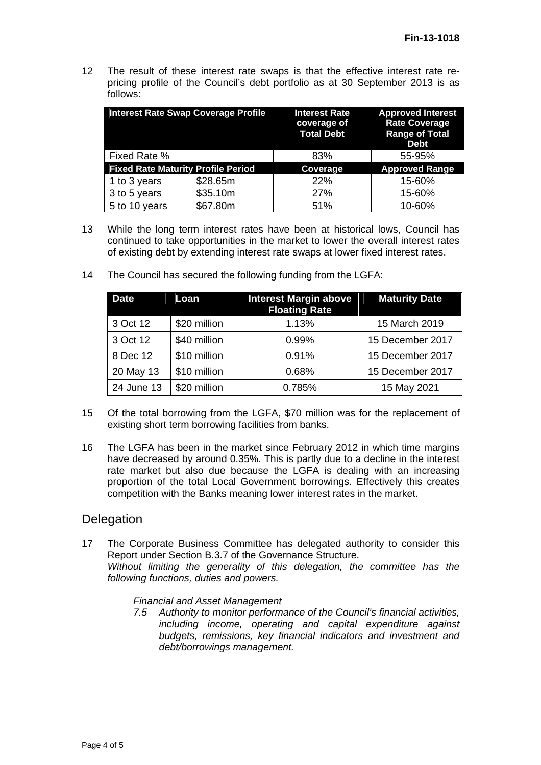12 The result of these interest rate swaps is that the effective interest rate repricing profile of the Council's debt portfolio as at 30 September 2013 is as follows:

| <b>Interest Rate Swap Coverage Profile</b> |          | <b>Interest Rate</b><br>coverage of<br><b>Total Debt</b> | <b>Approved Interest</b><br><b>Rate Coverage</b><br><b>Range of Total</b><br><b>Debt</b> |  |
|--------------------------------------------|----------|----------------------------------------------------------|------------------------------------------------------------------------------------------|--|
| Fixed Rate %                               |          | 83%                                                      | 55-95%                                                                                   |  |
| <b>Fixed Rate Maturity Profile Period</b>  |          | Coverage                                                 | <b>Approved Range</b>                                                                    |  |
| 1 to 3 years                               | \$28.65m | 22%                                                      | 15-60%                                                                                   |  |
| 3 to 5 years                               | \$35.10m | 27%                                                      | 15-60%                                                                                   |  |
| 5 to 10 years                              | \$67.80m | 51%                                                      | 10-60%                                                                                   |  |

- 13 While the long term interest rates have been at historical lows, Council has continued to take opportunities in the market to lower the overall interest rates of existing debt by extending interest rate swaps at lower fixed interest rates.
	- **Date** Loan Interest Margin above **Floating Rate Maturity Date**  3 Oct 12 \$20 million 1.13% 15 March 2019 3 Oct 12 \$40 million 0.99% 15 December 2017 8 Dec 12 \$10 million 0.91% 15 December 2017 20 May 13 | \$10 million | 0.68% | 15 December 2017 24 June 13 | \$20 million | 0.785% | 15 May 2021
- 14 The Council has secured the following funding from the LGFA:

- 15 Of the total borrowing from the LGFA, \$70 million was for the replacement of existing short term borrowing facilities from banks.
- 16 The LGFA has been in the market since February 2012 in which time margins have decreased by around 0.35%. This is partly due to a decline in the interest rate market but also due because the LGFA is dealing with an increasing proportion of the total Local Government borrowings. Effectively this creates competition with the Banks meaning lower interest rates in the market.

### **Delegation**

17 The Corporate Business Committee has delegated authority to consider this Report under Section B.3.7 of the Governance Structure. *Without limiting the generality of this delegation, the committee has the following functions, duties and powers.* 

#### *Financial and Asset Management*

*7.5 Authority to monitor performance of the Council's financial activities, including income, operating and capital expenditure against budgets, remissions, key financial indicators and investment and debt/borrowings management.*